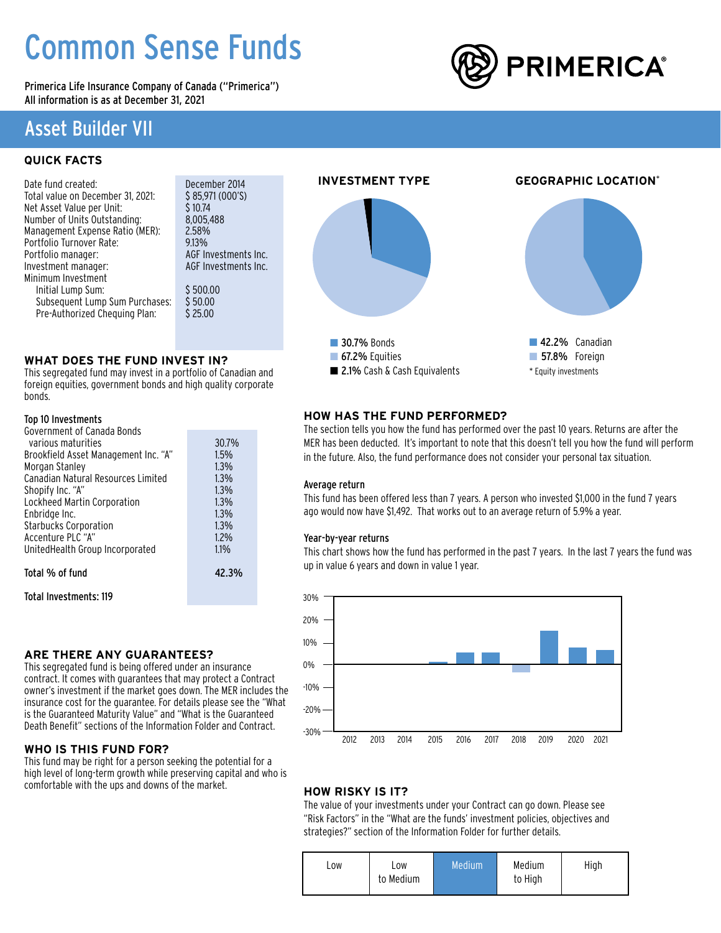# Common Sense Funds

Primerica Life Insurance Company of Canada ("Primerica") All information is as at December 31, 2021

### Asset Builder VII

### **QUICK FACTS**

| Date fund created:                |
|-----------------------------------|
| Total value on December 31, 2021: |
| Net Asset Value per Unit:         |
| Number of Units Outstanding:      |
| Management Expense Ratio (MER):   |
| Portfolio Turnover Rate:          |
| Portfolio manager:                |
| Investment manager:               |
| Minimum Investment                |
| Initial Lump Sum:                 |
| Subsequent Lump Sum Purchases:    |
| Pre-Authorized Chequing Plan:     |

December 2014  $$85,971 (000'S)$  $$10.74$ 8,005,488  $2.58%$ 9.13% AGF Investments Inc. AGF Investments Inc.  $$500.00$  $$50.00$  $$25.00$ 

### **WHAT DOES THE FUND INVEST IN?**

This segregated fund may invest in a portfolio of Canadian and foreign equities, government bonds and high quality corporate bonds.

### Top 10 Investments

| Government of Canada Bonds           |       |
|--------------------------------------|-------|
| various maturities                   | 30.7% |
| Brookfield Asset Management Inc. "A" | 1.5%  |
| Morgan Stanley                       | 1.3%  |
| Canadian Natural Resources Limited   | 1.3%  |
| Shopify Inc. "A"                     | 1.3%  |
| Lockheed Martin Corporation          | 1.3%  |
| Enbridge Inc.                        | 1.3%  |
| <b>Starbucks Corporation</b>         | 1.3%  |
| Accenture PLC "A"                    | 1.2%  |
| UnitedHealth Group Incorporated      | 1.1%  |
|                                      |       |
| Total % of fund                      | 42.3% |

Total Investments: 119

### **ARE THERE ANY GUARANTEES?**

This segregated fund is being offered under an insurance contract. It comes with guarantees that may protect a Contract owner's investment if the market goes down. The MER includes the insurance cost for the guarantee. For details please see the "What is the Guaranteed Maturity Value" and "What is the Guaranteed Death Benefit" sections of the Information Folder and Contract.

### **WHO IS THIS FUND FOR?**

This fund may be right for a person seeking the potential for a high level of long-term growth while preserving capital and who is comfortable with the ups and downs of the market.

## **INVESTMENT TYPE GEOGRAPHIC LOCATION**\* **30.7% Bonds**  $\blacksquare$  67.2% Equities ■ 2.1% Cash & Cash Equivalents **42.2%** Canadian **n** 57.8% Foreign \* Equity investments

### **HOW HAS THE FUND PERFORMED?**

The section tells you how the fund has performed over the past 10 years. Returns are after the MER has been deducted. It's important to note that this doesn't tell you how the fund will perform in the future. Also, the fund performance does not consider your personal tax situation.

### Average return

This fund has been offered less than 7 years. A person who invested \$1,000 in the fund 7 years ago would now have \$1,492. That works out to an average return of 5.9% a year.

### Year-by-year returns

This chart shows how the fund has performed in the past 7 years. In the last 7 years the fund was up in value 6 years and down in value 1 year.



### **HOW RISKY IS IT?**

The value of your investments under your Contract can go down. Please see "Risk Factors" in the "What are the funds' investment policies, objectives and strategies?" section of the Information Folder for further details.

| to Medium<br>to High | LOW | LOW | Medium | Medium | High |
|----------------------|-----|-----|--------|--------|------|
|----------------------|-----|-----|--------|--------|------|